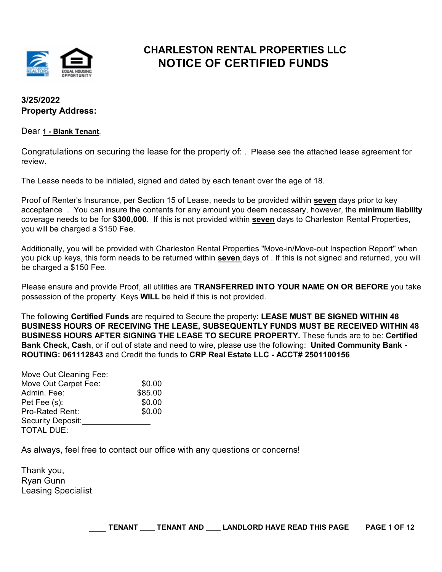

## **CHARLESTON RENTAL PROPERTIES LLC NOTICE OF CERTIFIED FUNDS**

## **3/25/2022 Property Address:**

### Dear **1 - Blank Tenant**,

Congratulations on securing the lease for the property of: . Please see the attached lease agreement for review.

The Lease needs to be initialed, signed and dated by each tenant over the age of 18.

Proof of Renter's Insurance, per Section 15 of Lease, needs to be provided within **seven** days prior to key acceptance . You can insure the contents for any amount you deem necessary, however, the **minimum liability** coverage needs to be for **\$300,000**. If this is not provided within **seven** days to Charleston Rental Properties, you will be charged a \$150 Fee.

Additionally, you will be provided with Charleston Rental Properties "Move-in/Move-out Inspection Report" when you pick up keys, this form needs to be returned within **seven** days of . If this is not signed and returned, you will be charged a \$150 Fee.

Please ensure and provide Proof, all utilities are **TRANSFERRED INTO YOUR NAME ON OR BEFORE** you take possession of the property. Keys **WILL** be held if this is not provided.

The following **Certified Funds** are required to Secure the property: **LEASE MUST BE SIGNED WITHIN 48 BUSINESS HOURS OF RECEIVING THE LEASE, SUBSEQUENTLY FUNDS MUST BE RECEIVED WITHIN 48 BUSINESS HOURS AFTER SIGNING THE LEASE TO SECURE PROPERTY.** These funds are to be: **Certified Bank Check, Cash**, or if out of state and need to wire, please use the following: **United Community Bank - ROUTING: 061112843** and Credit the funds to **CRP Real Estate LLC - ACCT# 2501100156**

| Move Out Cleaning Fee: |         |
|------------------------|---------|
| Move Out Carpet Fee:   | \$0.00  |
| Admin. Fee:            | \$85.00 |
| Pet Fee (s):           | \$0.00  |
| <b>Pro-Rated Rent:</b> | \$0.00  |
| Security Deposit:      |         |
| <b>TOTAL DUE:</b>      |         |

As always, feel free to contact our office with any questions or concerns!

Thank you, Ryan Gunn Leasing Specialist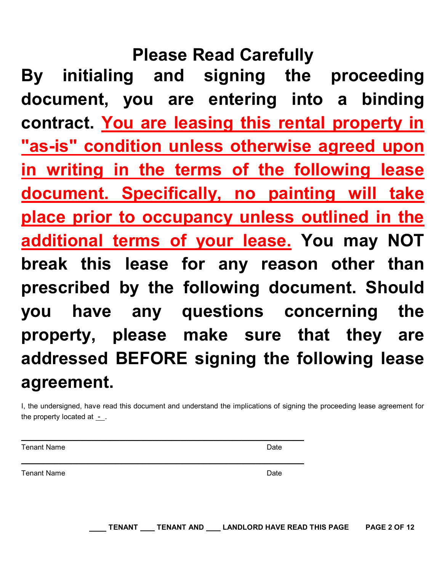# **Please Read Carefully**

**By initialing and signing the proceeding document, you are entering into a binding contract. You are leasing this rental property in "as-is" condition unless otherwise agreed upon in writing in the terms of the following lease document. Specifically, no painting will take place prior to occupancy unless outlined in the additional terms of your lease. You may NOT break this lease for any reason other than prescribed by the following document. Should you have any questions concerning the property, please make sure that they are addressed BEFORE signing the following lease agreement.**

I, the undersigned, have read this document and understand the implications of signing the proceeding lease agreement for the property located at  $\overline{\phantom{a}}$ .

 $\mathcal{L}_\text{max} = \mathcal{L}_\text{max} = \mathcal{L}_\text{max} = \mathcal{L}_\text{max} = \mathcal{L}_\text{max} = \mathcal{L}_\text{max} = \mathcal{L}_\text{max} = \mathcal{L}_\text{max} = \mathcal{L}_\text{max} = \mathcal{L}_\text{max} = \mathcal{L}_\text{max} = \mathcal{L}_\text{max} = \mathcal{L}_\text{max} = \mathcal{L}_\text{max} = \mathcal{L}_\text{max} = \mathcal{L}_\text{max} = \mathcal{L}_\text{max} = \mathcal{L}_\text{max} = \mathcal{$ 

 $\mathcal{L}_\text{max} = \mathcal{L}_\text{max} = \mathcal{L}_\text{max} = \mathcal{L}_\text{max} = \mathcal{L}_\text{max} = \mathcal{L}_\text{max} = \mathcal{L}_\text{max} = \mathcal{L}_\text{max} = \mathcal{L}_\text{max} = \mathcal{L}_\text{max} = \mathcal{L}_\text{max} = \mathcal{L}_\text{max} = \mathcal{L}_\text{max} = \mathcal{L}_\text{max} = \mathcal{L}_\text{max} = \mathcal{L}_\text{max} = \mathcal{L}_\text{max} = \mathcal{L}_\text{max} = \mathcal{$ 

Tenant Name Date

Tenant Name Date (2009) and the United States of the United States of the Date Date of the Date of the United States of the United States of the United States of the United States of the United States of the United States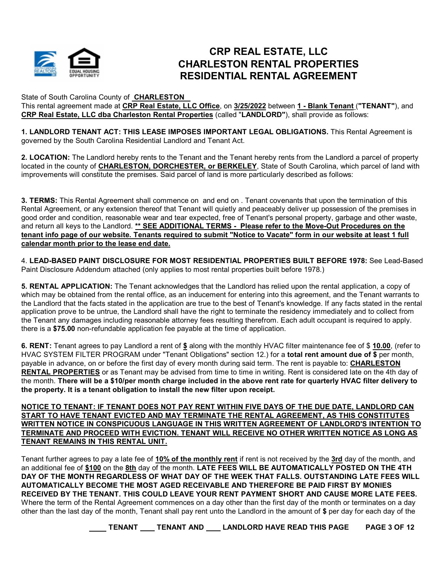

## **CRP REAL ESTATE, LLC CHARLESTON RENTAL PROPERTIES RESIDENTIAL RENTAL AGREEMENT**

State of South Carolina County of **CHARLESTON** 

This rental agreement made at **CRP Real Estate, LLC Office**, on **3/25/2022** between **1 - Blank Tenant** (**"TENANT"**), and **CRP Real Estate, LLC dba Charleston Rental Properties** (called "**LANDLORD"**), shall provide as follows:

**1. LANDLORD TENANT ACT: THIS LEASE IMPOSES IMPORTANT LEGAL OBLIGATIONS.** This Rental Agreement is governed by the South Carolina Residential Landlord and Tenant Act.

**2. LOCATION:** The Landlord hereby rents to the Tenant and the Tenant hereby rents from the Landlord a parcel of property located in the county of **CHARLESTON, DORCHESTER, or BERKELEY**, State of South Carolina, which parcel of land with improvements will constitute the premises. Said parcel of land is more particularly described as follows:

**3. TERMS:** This Rental Agreement shall commence on and end on . Tenant covenants that upon the termination of this Rental Agreement, or any extension thereof that Tenant will quietly and peaceably deliver up possession of the premises in good order and condition, reasonable wear and tear expected, free of Tenant's personal property, garbage and other waste, and return all keys to the Landlord. **\*\* SEE ADDITIONAL TERMS - Please refer to the Move-Out Procedures on the tenant info page of our website. Tenants required to submit "Notice to Vacate" form in our website at least 1 full calendar month prior to the lease end date.**

4. **LEAD-BASED PAINT DISCLOSURE FOR MOST RESIDENTIAL PROPERTIES BUILT BEFORE 1978:** See Lead-Based Paint Disclosure Addendum attached (only applies to most rental properties built before 1978.)

**5. RENTAL APPLICATION:** The Tenant acknowledges that the Landlord has relied upon the rental application, a copy of which may be obtained from the rental office, as an inducement for entering into this agreement, and the Tenant warrants to the Landlord that the facts stated in the application are true to the best of Tenant's knowledge. If any facts stated in the rental application prove to be untrue, the Landlord shall have the right to terminate the residency immediately and to collect from the Tenant any damages including reasonable attorney fees resulting therefrom. Each adult occupant is required to apply. there is a **\$75.00** non-refundable application fee payable at the time of application.

**6. RENT:** Tenant agrees to pay Landlord a rent of **\$** along with the monthly HVAC filter maintenance fee of \$ **10.00**, (refer to HVAC SYSTEM FILTER PROGRAM under "Tenant Obligations" section 12.) for a **total rent amount due of \$** per month, payable in advance, on or before the first day of every month during said term. The rent is payable to: **CHARLESTON RENTAL PROPERTIES** or as Tenant may be advised from time to time in writing. Rent is considered late on the 4th day of the month. **There will be a \$10/per month charge included in the above rent rate for quarterly HVAC filter delivery to the property. It is a tenant obligation to install the new filter upon receipt.** 

**NOTICE TO TENANT: IF TENANT DOES NOT PAY RENT WITHIN FIVE DAYS OF THE DUE DATE, LANDLORD CAN START TO HAVE TENANT EVICTED AND MAY TERMINATE THE RENTAL AGREEMENT, AS THIS CONSTITUTES WRITTEN NOTICE IN CONSPICUOUS LANGUAGE IN THIS WRITTEN AGREEMENT OF LANDLORD'S INTENTION TO TERMINATE AND PROCEED WITH EVICTION. TENANT WILL RECEIVE NO OTHER WRITTEN NOTICE AS LONG AS TENANT REMAINS IN THIS RENTAL UNIT.**

Tenant further agrees to pay a late fee of **10% of the monthly rent** if rent is not received by the **3rd** day of the month, and an additional fee of **\$100** on the **8th** day of the month. **LATE FEES WILL BE AUTOMATICALLY POSTED ON THE 4TH DAY OF THE MONTH REGARDLESS OF WHAT DAY OF THE WEEK THAT FALLS. OUTSTANDING LATE FEES WILL AUTOMATICALLY BECOME THE MOST AGED RECEIVABLE AND THEREFORE BE PAID FIRST BY MONIES RECEIVED BY THE TENANT. THIS COULD LEAVE YOUR RENT PAYMENT SHORT AND CAUSE MORE LATE FEES.** Where the term of the Rental Agreement commences on a day other than the first day of the month or terminates on a day other than the last day of the month, Tenant shall pay rent unto the Landlord in the amount of **\$** per day for each day of the

**TENANT TENANT AND LANDLORD HAVE READ THIS PAGE PAGE 3 OF 12**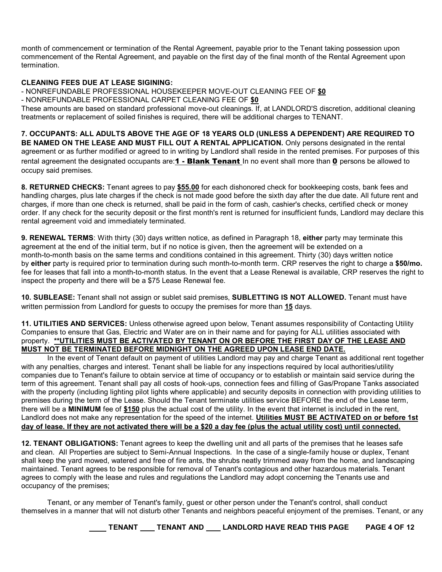month of commencement or termination of the Rental Agreement, payable prior to the Tenant taking possession upon commencement of the Rental Agreement, and payable on the first day of the final month of the Rental Agreement upon termination.

#### **CLEANING FEES DUE AT LEASE SIGINING:**

- NONREFUNDABLE PROFESSIONAL HOUSEKEEPER MOVE-OUT CLEANING FEE OF **\$0**

- NONREFUNDABLE PROFESSIONAL CARPET CLEANING FEE OF **\$0**

These amounts are based on standard professional move-out cleanings. If, at LANDLORD'S discretion, additional cleaning treatments or replacement of soiled finishes is required, there will be additional charges to TENANT.

**7. OCCUPANTS: ALL ADULTS ABOVE THE AGE OF 18 YEARS OLD (UNLESS A DEPENDENT) ARE REQUIRED TO BE NAMED ON THE LEASE AND MUST FILL OUT A RENTAL APPLICATION.** Only persons designated in the rental agreement or as further modified or agreed to in writing by Landlord shall reside in the rented premises. For purposes of this rental agreement the designated occupants are: **1 - Blank Tenant** In no event shall more than **0** persons be allowed to occupy said premises.

**8. RETURNED CHECKS:** Tenant agrees to pay **\$55.00** for each dishonored check for bookkeeping costs, bank fees and handling charges, plus late charges if the check is not made good before the sixth day after the due date. All future rent and charges, if more than one check is returned, shall be paid in the form of cash, cashier's checks, certified check or money order. If any check for the security deposit or the first month's rent is returned for insufficient funds, Landlord may declare this rental agreement void and immediately terminated.

**9. RENEWAL TERMS:** With thirty (30) days written notice, as defined in Paragraph 18, either party may terminate this agreement at the end of the initial term, but if no notice is given, then the agreement will be extended on a month-to-month basis on the same terms and conditions contained in this agreement. Thirty (30) days written notice by **either** party is required prior to termination during such month-to-month term. CRP reserves the right to charge a **\$50/mo.** fee for leases that fall into a month-to-month status. In the event that a Lease Renewal is available, CRP reserves the right to inspect the property and there will be a \$75 Lease Renewal fee.

**10. SUBLEASE:** Tenant shall not assign or sublet said premises, **SUBLETTING IS NOT ALLOWED.** Tenant must have written permission from Landlord for guests to occupy the premises for more than **15** days.

**11. UTILITIES AND SERVICES:** Unless otherwise agreed upon below, Tenant assumes responsibility of Contacting Utility Companies to ensure that Gas, Electric and Water are on in their name and for paying for ALL utilities associated with property. **\*\*UTILITIES MUST BE ACTIVATED BY TENANT ON OR BEFORE THE FIRST DAY OF THE LEASE AND MUST NOT BE TERMINATED BEFORE MIDNIGHT ON THE AGREED UPON LEASE END DATE.**

In the event of Tenant default on payment of utilities Landlord may pay and charge Tenant as additional rent together with any penalties, charges and interest. Tenant shall be liable for any inspections required by local authorities/utility companies due to Tenant's failure to obtain service at time of occupancy or to establish or maintain said service during the term of this agreement. Tenant shall pay all costs of hook-ups, connection fees and filling of Gas/Propane Tanks associated with the property (including lighting pilot lights where applicable) and security deposits in connection with providing utilities to premises during the term of the Lease. Should the Tenant terminate utilities service BEFORE the end of the Lease term, there will be a **MINIMUM** fee of **\$150** plus the actual cost of the utility. In the event that internet is included in the rent, Landlord does not make any representation for the speed of the internet. **Utilities MUST BE ACTIVATED on or before 1st day of lease. If they are not activated there will be a \$20 a day fee (plus the actual utility cost) until connected.**

**12. TENANT OBLIGATIONS:** Tenant agrees to keep the dwelling unit and all parts of the premises that he leases safe and clean. All Properties are subject to Semi-Annual Inspections. In the case of a single-family house or duplex, Tenant shall keep the yard mowed, watered and free of fire ants, the shrubs neatly trimmed away from the home, and landscaping maintained. Tenant agrees to be responsible for removal of Tenant's contagious and other hazardous materials. Tenant agrees to comply with the lease and rules and regulations the Landlord may adopt concerning the Tenants use and occupancy of the premises;

Tenant, or any member of Tenant's family, guest or other person under the Tenant's control, shall conduct themselves in a manner that will not disturb other Tenants and neighbors peaceful enjoyment of the premises. Tenant, or any

**TENANT TENANT AND LANDLORD HAVE READ THIS PAGE PAGE 4 OF 12**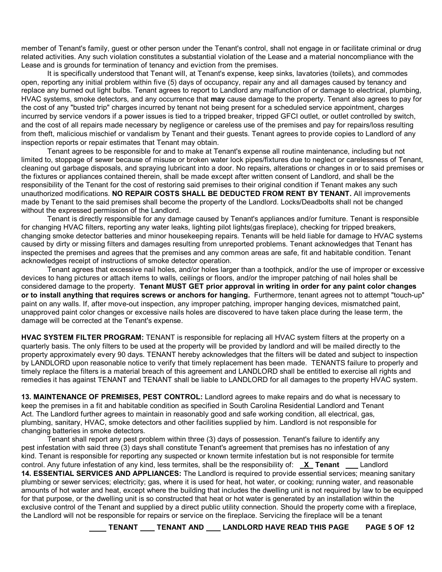member of Tenant's family, guest or other person under the Tenant's control, shall not engage in or facilitate criminal or drug related activities. Any such violation constitutes a substantial violation of the Lease and a material noncompliance with the Lease and is grounds for termination of tenancy and eviction from the premises.

It is specifically understood that Tenant will, at Tenant's expense, keep sinks, lavatories (toilets), and commodes open, reporting any initial problem within five (5) days of occupancy, repair any and all damages caused by tenancy and replace any burned out light bulbs. Tenant agrees to report to Landlord any malfunction of or damage to electrical, plumbing, HVAC systems, smoke detectors, and any occurrence that **may** cause damage to the property. Tenant also agrees to pay for the cost of any "busted trip" charges incurred by tenant not being present for a scheduled service appointment, charges incurred by service vendors if a power issues is tied to a tripped breaker, tripped GFCI outlet, or outlet controlled by switch, and the cost of all repairs made necessary by negligence or careless use of the premises and pay for repairs/loss resulting from theft, malicious mischief or vandalism by Tenant and their guests. Tenant agrees to provide copies to Landlord of any inspection reports or repair estimates that Tenant may obtain.

Tenant agrees to be responsible for and to make at Tenant's expense all routine maintenance, including but not limited to, stoppage of sewer because of misuse or broken water lock pipes/fixtures due to neglect or carelessness of Tenant, cleaning out garbage disposals, and spraying lubricant into a door. No repairs, alterations or changes in or to said premises or the fixtures or appliances contained therein, shall be made except after written consent of Landlord, and shall be the responsibility of the Tenant for the cost of restoring said premises to their original condition if Tenant makes any such unauthorized modifications. **NO REPAIR COSTS SHALL BE DEDUCTED FROM RENT BY TENANT.** All improvements made by Tenant to the said premises shall become the property of the Landlord. Locks/Deadbolts shall not be changed without the expressed permission of the Landlord.

Tenant is directly responsible for any damage caused by Tenant's appliances and/or furniture. Tenant is responsible for changing HVAC filters, reporting any water leaks, lighting pilot lights(gas fireplace), checking for tripped breakers, changing smoke detector batteries and minor housekeeping repairs. Tenants will be held liable for damage to HVAC systems caused by dirty or missing filters and damages resulting from unreported problems. Tenant acknowledges that Tenant has inspected the premises and agrees that the premises and any common areas are safe, fit and habitable condition. Tenant acknowledges receipt of instructions of smoke detector operation.

Tenant agrees that excessive nail holes, and/or holes larger than a toothpick, and/or the use of improper or excessive devices to hang pictures or attach items to walls, ceilings or floors, and/or the improper patching of nail holes shall be considered damage to the property. **Tenant MUST GET prior approval in writing in order for any paint color changes or to install anything that requires screws or anchors for hanging.** Furthermore, tenant agrees not to attempt "touch-up" paint on any walls. If, after move-out inspection, any improper patching, improper hanging devices, mismatched paint, unapproved paint color changes or excessive nails holes are discovered to have taken place during the lease term, the damage will be corrected at the Tenant's expense.

**HVAC SYSTEM FILTER PROGRAM:** TENANT is responsible for replacing all HVAC system filters at the property on a quarterly basis. The only filters to be used at the property will be provided by landlord and will be mailed directly to the property approximately every 90 days. TENANT hereby acknowledges that the filters will be dated and subject to inspection by LANDLORD upon reasonable notice to verify that timely replacement has been made. TENANTS failure to properly and timely replace the filters is a material breach of this agreement and LANDLORD shall be entitled to exercise all rights and remedies it has against TENANT and TENANT shall be liable to LANDLORD for all damages to the property HVAC system.

**13. MAINTENANCE OF PREMISES, PEST CONTROL:** Landlord agrees to make repairs and do what is necessary to keep the premises in a fit and habitable condition as specified in South Carolina Residential Landlord and Tenant Act. The Landlord further agrees to maintain in reasonably good and safe working condition, all electrical, gas, plumbing, sanitary, HVAC, smoke detectors and other facilities supplied by him. Landlord is not responsible for changing batteries in smoke detectors.

Tenant shall report any pest problem within three (3) days of possession. Tenant's failure to identify any pest infestation with said three (3) days shall constitute Tenant's agreement that premises has no infestation of any kind. Tenant is responsible for reporting any suspected or known termite infestation but is not responsible for termite control. Any future infestation of any kind, less termites, shall be the responsibility of: **X** Tenant \_\_ Landlord **14. ESSENTIAL SERVICES AND APPLIANCES:** The Landlord is required to provide essential services; meaning sanitary plumbing or sewer services; electricity; gas, where it is used for heat, hot water, or cooking; running water, and reasonable amounts of hot water and heat, except where the building that includes the dwelling unit is not required by law to be equipped for that purpose, or the dwelling unit is so constructed that heat or hot water is generated by an installation within the exclusive control of the Tenant and supplied by a direct public utility connection. Should the property come with a fireplace, the Landlord will not be responsible for repairs or service on the fireplace. Servicing the fireplace will be a tenant

**TENANT \_\_\_ TENANT AND \_\_\_ LANDLORD HAVE READ THIS PAGE \_\_ PAGE 5 OF 12**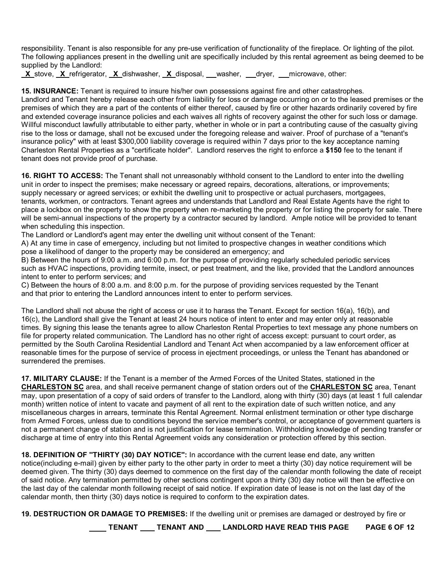responsibility. Tenant is also responsible for any pre-use verification of functionality of the fireplace. Or lighting of the pilot. The following appliances present in the dwelling unit are specifically included by this rental agreement as being deemed to be supplied by the Landlord:

 **X** stove, **X** refrigerator, **X** dishwasher, **X** disposal, washer, dryer, microwave, other:

**15. INSURANCE:** Tenant is required to insure his/her own possessions against fire and other catastrophes. Landlord and Tenant hereby release each other from liability for loss or damage occurring on or to the leased premises or the premises of which they are a part of the contents of either thereof, caused by fire or other hazards ordinarily covered by fire and extended coverage insurance policies and each waives all rights of recovery against the other for such loss or damage. Willful misconduct lawfully attributable to either party, whether in whole or in part a contributing cause of the casualty giving rise to the loss or damage, shall not be excused under the foregoing release and waiver. Proof of purchase of a "tenant's insurance policy" with at least \$300,000 liability coverage is required within 7 days prior to the key acceptance naming Charleston Rental Properties as a "certificate holder". Landlord reserves the right to enforce a **\$150** fee to the tenant if tenant does not provide proof of purchase.

**16. RIGHT TO ACCESS:** The Tenant shall not unreasonably withhold consent to the Landlord to enter into the dwelling unit in order to inspect the premises; make necessary or agreed repairs, decorations, alterations, or improvements; supply necessary or agreed services; or exhibit the dwelling unit to prospective or actual purchasers, mortgagees, tenants, workmen, or contractors. Tenant agrees and understands that Landlord and Real Estate Agents have the right to place a lockbox on the property to show the property when re-marketing the property or for listing the property for sale. There will be semi-annual inspections of the property by a contractor secured by landlord. Ample notice will be provided to tenant when scheduling this inspection.

The Landlord or Landlord's agent may enter the dwelling unit without consent of the Tenant:

A) At any time in case of emergency, including but not limited to prospective changes in weather conditions which pose a likelihood of danger to the property may be considered an emergency; and

B) Between the hours of 9:00 a.m. and 6:00 p.m. for the purpose of providing regularly scheduled periodic services such as HVAC inspections, providing termite, insect, or pest treatment, and the like, provided that the Landlord announces intent to enter to perform services; and

C) Between the hours of 8:00 a.m. and 8:00 p.m. for the purpose of providing services requested by the Tenant and that prior to entering the Landlord announces intent to enter to perform services.

The Landlord shall not abuse the right of access or use it to harass the Tenant. Except for section 16(a), 16(b), and 16(c), the Landlord shall give the Tenant at least 24 hours notice of intent to enter and may enter only at reasonable times. By signing this lease the tenants agree to allow Charleston Rental Properties to text message any phone numbers on file for property related communication. The Landlord has no other right of access except: pursuant to court order, as permitted by the South Carolina Residential Landlord and Tenant Act when accompanied by a law enforcement officer at reasonable times for the purpose of service of process in ejectment proceedings, or unless the Tenant has abandoned or surrendered the premises.

**17. MILITARY CLAUSE:** If the Tenant is a member of the Armed Forces of the United States, stationed in the **CHARLESTON SC** area, and shall receive permanent change of station orders out of the **CHARLESTON SC** area, Tenant may, upon presentation of a copy of said orders of transfer to the Landlord, along with thirty (30) days (at least 1 full calendar month) written notice of intent to vacate and payment of all rent to the expiration date of such written notice, and any miscellaneous charges in arrears, terminate this Rental Agreement. Normal enlistment termination or other type discharge from Armed Forces, unless due to conditions beyond the service member's control, or acceptance of government quarters is not a permanent change of station and is not justification for lease termination. Withholding knowledge of pending transfer or discharge at time of entry into this Rental Agreement voids any consideration or protection offered by this section.

**18. DEFINITION OF ''THIRTY (30) DAY NOTICE'':** In accordance with the current lease end date, any written notice(including e-mail) given by either party to the other party in order to meet a thirty (30) day notice requirement will be deemed given. The thirty (30) days deemed to commence on the first day of the calendar month following the date of receipt of said notice. Any termination permitted by other sections contingent upon a thirty (30) day notice will then be effective on the last day of the calendar month following receipt of said notice. If expiration date of lease is not on the last day of the calendar month, then thirty (30) days notice is required to conform to the expiration dates.

**19. DESTRUCTION OR DAMAGE TO PREMISES:** If the dwelling unit or premises are damaged or destroyed by fire or

**TENANT \_\_\_ TENANT AND \_\_\_ LANDLORD HAVE READ THIS PAGE \_\_ PAGE 6 OF 12**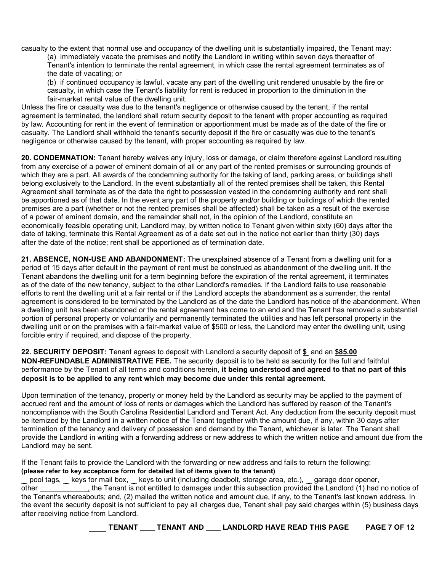casualty to the extent that normal use and occupancy of the dwelling unit is substantially impaired, the Tenant may:

(a) immediately vacate the premises and notify the Landlord in writing within seven days thereafter of Tenant's intention to terminate the rental agreement, in which case the rental agreement terminates as of the date of vacating; or

(b) if continued occupancy is lawful, vacate any part of the dwelling unit rendered unusable by the fire or casualty, in which case the Tenant's liability for rent is reduced in proportion to the diminution in the fair-market rental value of the dwelling unit.

Unless the fire or casualty was due to the tenant's negligence or otherwise caused by the tenant, if the rental agreement is terminated, the landlord shall return security deposit to the tenant with proper accounting as required by law. Accounting for rent in the event of termination or apportionment must be made as of the date of the fire or casualty. The Landlord shall withhold the tenant's security deposit if the fire or casualty was due to the tenant's negligence or otherwise caused by the tenant, with proper accounting as required by law.

**20. CONDEMNATION:** Tenant hereby waives any injury, loss or damage, or claim therefore against Landlord resulting from any exercise of a power of eminent domain of all or any part of the rented premises or surrounding grounds of which they are a part. All awards of the condemning authority for the taking of land, parking areas, or buildings shall belong exclusively to the Landlord. In the event substantially all of the rented premises shall be taken, this Rental Agreement shall terminate as of the date the right to possession vested in the condemning authority and rent shall be apportioned as of that date. In the event any part of the property and/or building or buildings of which the rented premises are a part (whether or not the rented premises shall be affected) shall be taken as a result of the exercise of a power of eminent domain, and the remainder shall not, in the opinion of the Landlord, constitute an economically feasible operating unit, Landlord may, by written notice to Tenant given within sixty (60) days after the date of taking, terminate this Rental Agreement as of a date set out in the notice not earlier than thirty (30) days after the date of the notice; rent shall be apportioned as of termination date.

**21. ABSENCE, NON-USE AND ABANDONMENT:** The unexplained absence of a Tenant from a dwelling unit for a period of 15 days after default in the payment of rent must be construed as abandonment of the dwelling unit. If the Tenant abandons the dwelling unit for a term beginning before the expiration of the rental agreement, it terminates as of the date of the new tenancy, subject to the other Landlord's remedies. If the Landlord fails to use reasonable efforts to rent the dwelling unit at a fair rental or if the Landlord accepts the abandonment as a surrender, the rental agreement is considered to be terminated by the Landlord as of the date the Landlord has notice of the abandonment. When a dwelling unit has been abandoned or the rental agreement has come to an end and the Tenant has removed a substantial portion of personal property or voluntarily and permanently terminated the utilities and has left personal property in the dwelling unit or on the premises with a fair-market value of \$500 or less, the Landlord may enter the dwelling unit, using forcible entry if required, and dispose of the property.

**22. SECURITY DEPOSIT:** Tenant agrees to deposit with Landlord a security deposit of **\$** and an **\$85.00 NON-REFUNDABLE ADMINISTRATIVE FEE.** The security deposit is to be held as security for the full and faithful performance by the Tenant of all terms and conditions herein, **it being understood and agreed to that no part of this deposit is to be applied to any rent which may become due under this rental agreement.**

Upon termination of the tenancy, property or money held by the Landlord as security may be applied to the payment of accrued rent and the amount of loss of rents or damages which the Landlord has suffered by reason of the Tenant's noncompliance with the South Carolina Residential Landlord and Tenant Act. Any deduction from the security deposit must be itemized by the Landlord in a written notice of the Tenant together with the amount due, if any, within 30 days after termination of the tenancy and delivery of possession and demand by the Tenant, whichever is later. The Tenant shall provide the Landlord in writing with a forwarding address or new address to which the written notice and amount due from the Landlord may be sent.

If the Tenant fails to provide the Landlord with the forwarding or new address and fails to return the following: **(please refer to key acceptance form for detailed list of items given to the tenant)**

pool tags, keys for mail box, keys to unit (including deadbolt, storage area, etc.), garage door opener, other the Tenant is not entitled to damages under this subsection provided the Landlord (1) had no notice of the Tenant's whereabouts; and, (2) mailed the written notice and amount due, if any, to the Tenant's last known address. In the event the security deposit is not sufficient to pay all charges due, Tenant shall pay said charges within (5) business days after receiving notice from Landlord.

**TENANT TENANT AND LANDLORD HAVE READ THIS PAGE PAGE 7 OF 12**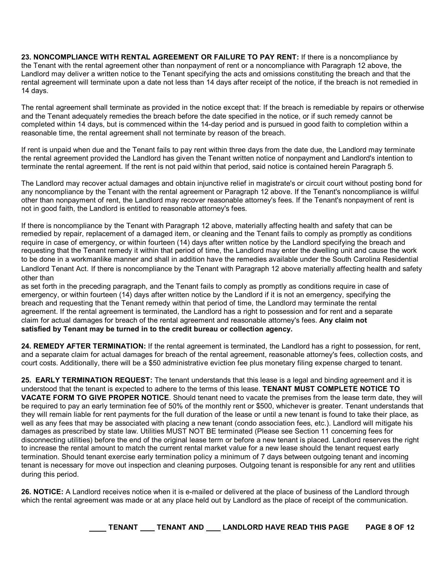**23. NONCOMPLIANCE WITH RENTAL AGREEMENT OR FAILURE TO PAY RENT:** If there is a noncompliance by the Tenant with the rental agreement other than nonpayment of rent or a noncompliance with Paragraph 12 above, the Landlord may deliver a written notice to the Tenant specifying the acts and omissions constituting the breach and that the rental agreement will terminate upon a date not less than 14 days after receipt of the notice, if the breach is not remedied in 14 days.

The rental agreement shall terminate as provided in the notice except that: If the breach is remediable by repairs or otherwise and the Tenant adequately remedies the breach before the date specified in the notice, or if such remedy cannot be completed within 14 days, but is commenced within the 14-day period and is pursued in good faith to completion within a reasonable time, the rental agreement shall not terminate by reason of the breach.

If rent is unpaid when due and the Tenant fails to pay rent within three days from the date due, the Landlord may terminate the rental agreement provided the Landlord has given the Tenant written notice of nonpayment and Landlord's intention to terminate the rental agreement. If the rent is not paid within that period, said notice is contained herein Paragraph 5.

The Landlord may recover actual damages and obtain injunctive relief in magistrate's or circuit court without posting bond for any noncompliance by the Tenant with the rental agreement or Paragraph 12 above. If the Tenant's noncompliance is willful other than nonpayment of rent, the Landlord may recover reasonable attorney's fees. If the Tenant's nonpayment of rent is not in good faith, the Landlord is entitled to reasonable attorney's fees.

If there is noncompliance by the Tenant with Paragraph 12 above, materially affecting health and safety that can be remedied by repair, replacement of a damaged item, or cleaning and the Tenant fails to comply as promptly as conditions require in case of emergency, or within fourteen (14) days after written notice by the Landlord specifying the breach and requesting that the Tenant remedy it within that period of time, the Landlord may enter the dwelling unit and cause the work to be done in a workmanlike manner and shall in addition have the remedies available under the South Carolina Residential Landlord Tenant Act. If there is noncompliance by the Tenant with Paragraph 12 above materially affecting health and safety other than

as set forth in the preceding paragraph, and the Tenant fails to comply as promptly as conditions require in case of emergency, or within fourteen (14) days after written notice by the Landlord if it is not an emergency, specifying the breach and requesting that the Tenant remedy within that period of time, the Landlord may terminate the rental agreement. If the rental agreement is terminated, the Landlord has a right to possession and for rent and a separate claim for actual damages for breach of the rental agreement and reasonable attorney's fees. **Any claim not satisfied by Tenant may be turned in to the credit bureau or collection agency.**

**24. REMEDY AFTER TERMINATION:** If the rental agreement is terminated, the Landlord has a right to possession, for rent, and a separate claim for actual damages for breach of the rental agreement, reasonable attorney's fees, collection costs, and court costs. Additionally, there will be a \$50 administrative eviction fee plus monetary filing expense charged to tenant.

**25. EARLY TERMINATION REQUEST:** The tenant understands that this lease is a legal and binding agreement and it is understood that the tenant is expected to adhere to the terms of this lease. **TENANT MUST COMPLETE NOTICE TO VACATE FORM TO GIVE PROPER NOTICE**. Should tenant need to vacate the premises from the lease term date, they will be required to pay an early termination fee of 50% of the monthly rent or \$500, whichever is greater. Tenant understands that they will remain liable for rent payments for the full duration of the lease or until a new tenant is found to take their place, as well as any fees that may be associated with placing a new tenant (condo association fees, etc.). Landlord will mitigate his damages as prescribed by state law. Utilities MUST NOT BE terminated (Please see Section 11 concerning fees for disconnecting utilities) before the end of the original lease term or before a new tenant is placed. Landlord reserves the right to increase the rental amount to match the current rental market value for a new lease should the tenant request early termination. Should tenant exercise early termination policy a minimum of 7 days between outgoing tenant and incoming tenant is necessary for move out inspection and cleaning purposes. Outgoing tenant is responsible for any rent and utilities during this period.

**26. NOTICE:** A Landlord receives notice when it is e-mailed or delivered at the place of business of the Landlord through which the rental agreement was made or at any place held out by Landlord as the place of receipt of the communication.

| <b>LANDLORD HAVE READ THIS PAGE</b><br><b>TENANT AND</b><br><b>TENANT</b> |
|---------------------------------------------------------------------------|
|---------------------------------------------------------------------------|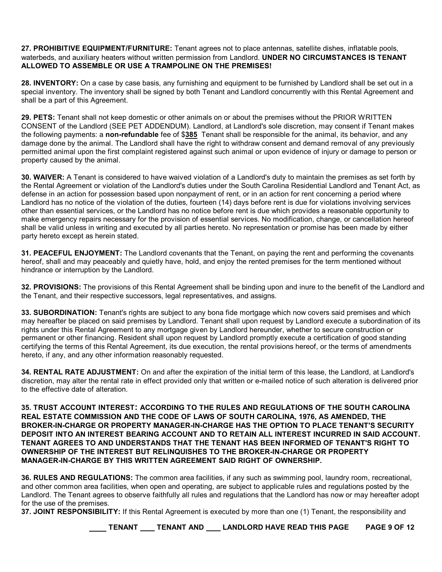**27. PROHIBITIVE EQUIPMENT/FURNITURE:** Tenant agrees not to place antennas, satellite dishes, inflatable pools, waterbeds, and auxiliary heaters without written permission from Landlord. **UNDER NO CIRCUMSTANCES IS TENANT ALLOWED TO ASSEMBLE OR USE A TRAMPOLINE ON THE PREMISES!**

**28. INVENTORY:** On a case by case basis, any furnishing and equipment to be furnished by Landlord shall be set out in a special inventory. The inventory shall be signed by both Tenant and Landlord concurrently with this Rental Agreement and shall be a part of this Agreement.

**29. PETS:** Tenant shall not keep domestic or other animals on or about the premises without the PRIOR WRITTEN CONSENT of the Landlord (SEE PET ADDENDUM). Landlord, at Landlord's sole discretion, may consent if Tenant makes the following payments: a **non-refundable** fee of \$**385** Tenant shall be responsible for the animal, its behavior, and any damage done by the animal. The Landlord shall have the right to withdraw consent and demand removal of any previously permitted animal upon the first complaint registered against such animal or upon evidence of injury or damage to person or property caused by the animal.

**30. WAIVER:** A Tenant is considered to have waived violation of a Landlord's duty to maintain the premises as set forth by the Rental Agreement or violation of the Landlord's duties under the South Carolina Residential Landlord and Tenant Act, as defense in an action for possession based upon nonpayment of rent, or in an action for rent concerning a period where Landlord has no notice of the violation of the duties, fourteen (14) days before rent is due for violations involving services other than essential services, or the Landlord has no notice before rent is due which provides a reasonable opportunity to make emergency repairs necessary for the provision of essential services. No modification, change, or cancellation hereof shall be valid unless in writing and executed by all parties hereto. No representation or promise has been made by either party hereto except as herein stated.

**31. PEACEFUL ENJOYMENT:** The Landlord covenants that the Tenant, on paying the rent and performing the covenants hereof, shall and may peaceably and quietly have, hold, and enjoy the rented premises for the term mentioned without hindrance or interruption by the Landlord.

**32. PROVISIONS:** The provisions of this Rental Agreement shall be binding upon and inure to the benefit of the Landlord and the Tenant, and their respective successors, legal representatives, and assigns.

**33. SUBORDINATION:** Tenant's rights are subject to any bona fide mortgage which now covers said premises and which may hereafter be placed on said premises by Landlord. Tenant shall upon request by Landlord execute a subordination of its rights under this Rental Agreement to any mortgage given by Landlord hereunder, whether to secure construction or permanent or other financing. Resident shall upon request by Landlord promptly execute a certification of good standing certifying the terms of this Rental Agreement, its due execution, the rental provisions hereof, or the terms of amendments hereto, if any, and any other information reasonably requested.

**34. RENTAL RATE ADJUSTMENT:** On and after the expiration of the initial term of this lease, the Landlord, at Landlord's discretion, may alter the rental rate in effect provided only that written or e-mailed notice of such alteration is delivered prior to the effective date of alteration.

**35. TRUST ACCOUNT INTEREST: ACCORDING TO THE RULES AND REGULATIONS OF THE SOUTH CAROLINA REAL ESTATE COMMISSION AND THE CODE OF LAWS OF SOUTH CAROLINA, 1976, AS AMENDED, THE BROKER-IN-CHARGE OR PROPERTY MANAGER-IN-CHARGE HAS THE OPTION TO PLACE TENANT'S SECURITY DEPOSIT INTO AN INTEREST BEARING ACCOUNT AND TO RETAIN ALL INTEREST INCURRED IN SAID ACCOUNT. TENANT AGREES TO AND UNDERSTANDS THAT THE TENANT HAS BEEN INFORMED OF TENANT'S RIGHT TO OWNERSHIP OF THE INTEREST BUT RELINQUISHES TO THE BROKER-IN-CHARGE OR PROPERTY MANAGER-IN-CHARGE BY THIS WRITTEN AGREEMENT SAID RIGHT OF OWNERSHIP.**

**36. RULES AND REGULATIONS:** The common area facilities, if any such as swimming pool, laundry room, recreational, and other common area facilities, when open and operating, are subject to applicable rules and regulations posted by the Landlord. The Tenant agrees to observe faithfully all rules and regulations that the Landlord has now or may hereafter adopt for the use of the premises.

**37. JOINT RESPONSIBILITY:** If this Rental Agreement is executed by more than one (1) Tenant, the responsibility and

**TENANT \_\_\_ TENANT AND \_\_\_ LANDLORD HAVE READ THIS PAGE \_\_ PAGE 9 OF 12**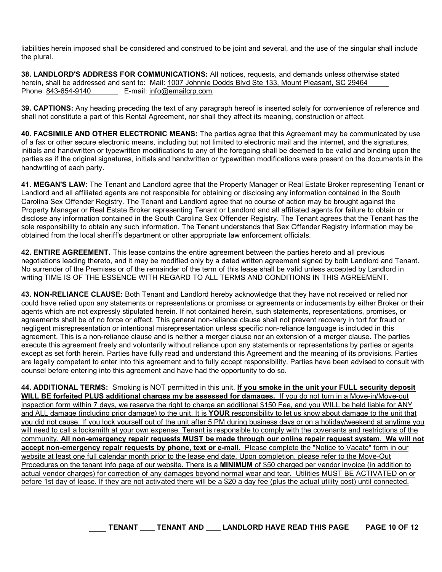liabilities herein imposed shall be considered and construed to be joint and several, and the use of the singular shall include the plural.

**38. LANDLORD'S ADDRESS FOR COMMUNICATIONS:** All notices, requests, and demands unless otherwise stated herein, shall be addressed and sent to: Mail: 1007 Johnnie Dodds Blvd Ste 133, Mount Pleasant, SC 29464 Phone: 843-654-9140 E-mail: info@emailcrp.com

**39. CAPTIONS:** Any heading preceding the text of any paragraph hereof is inserted solely for convenience of reference and shall not constitute a part of this Rental Agreement, nor shall they affect its meaning, construction or affect.

**40. FACSIMILE AND OTHER ELECTRONIC MEANS:** The parties agree that this Agreement may be communicated by use of a fax or other secure electronic means, including but not limited to electronic mail and the internet, and the signatures, initials and handwritten or typewritten modifications to any of the foregoing shall be deemed to be valid and binding upon the parties as if the original signatures, initials and handwritten or typewritten modifications were present on the documents in the handwriting of each party.

**41. MEGAN'S LAW:** The Tenant and Landlord agree that the Property Manager or Real Estate Broker representing Tenant or Landlord and all affiliated agents are not responsible for obtaining or disclosing any information contained in the South Carolina Sex Offender Registry. The Tenant and Landlord agree that no course of action may be brought against the Property Manager or Real Estate Broker representing Tenant or Landlord and all affiliated agents for failure to obtain or disclose any information contained in the South Carolina Sex Offender Registry. The Tenant agrees that the Tenant has the sole responsibility to obtain any such information. The Tenant understands that Sex Offender Registry information may be obtained from the local sheriff's department or other appropriate law enforcement officials.

**42. ENTIRE AGREEMENT.** This lease contains the entire agreement between the parties hereto and all previous negotiations leading thereto, and it may be modified only by a dated written agreement signed by both Landlord and Tenant. No surrender of the Premises or of the remainder of the term of this lease shall be valid unless accepted by Landlord in writing TIME IS OF THE ESSENCE WITH REGARD TO ALL TERMS AND CONDITIONS IN THIS AGREEMENT.

**43. NON-RELIANCE CLAUSE:** Both Tenant and Landlord hereby acknowledge that they have not received or relied nor could have relied upon any statements or representations or promises or agreements or inducements by either Broker or their agents which are not expressly stipulated herein. If not contained herein, such statements, representations, promises, or agreements shall be of no force or effect. This general non-reliance clause shall not prevent recovery in tort for fraud or negligent misrepresentation or intentional misrepresentation unless specific non-reliance language is included in this agreement. This is a non-reliance clause and is neither a merger clause nor an extension of a merger clause. The parties execute this agreement freely and voluntarily without reliance upon any statements or representations by parties or agents except as set forth herein. Parties have fully read and understand this Agreement and the meaning of its provisions. Parties are legally competent to enter into this agreement and to fully accept responsibility. Parties have been advised to consult with counsel before entering into this agreement and have had the opportunity to do so.

**44. ADDITIONAL TERMS:** Smoking is NOT permitted in this unit. **If you smoke in the unit your FULL security deposit WILL BE forfeited PLUS additional charges my be assessed for damages.** If you do not turn in a Move-in/Move-out inspection form within 7 days, we reserve the right to charge an additional \$150 Fee, and you WILL be held liable for ANY and ALL damage (including prior damage) to the unit. It is **YOUR** responsibility to let us know about damage to the unit that you did not cause. If you lock yourself out of the unit after 5 PM during business days or on a holiday/weekend at anytime you will need to call a locksmith at your own expense. Tenant is responsible to comply with the covenants and restrictions of the community. **All non-emergency repair requests MUST be made through our online repair request system**. **We will not accept non-emergency repair requests by phone, text or e-mail.** Please complete the "Notice to Vacate" form in our website at least one full calendar month prior to the lease end date. Upon completion, please refer to the Move-Out Procedures on the tenant info page of our website. There is a **MINIMUM** of \$50 charged per vendor invoice (in addition to actual vendor charges) for correction of any damages beyond normal wear and tear. Utilities MUST BE ACTIVATED on or before 1st day of lease. If they are not activated there will be a \$20 a day fee (plus the actual utility cost) until connected.

**TENANT TENANT AND LANDLORD HAVE READ THIS PAGE PAGE 10 OF 12**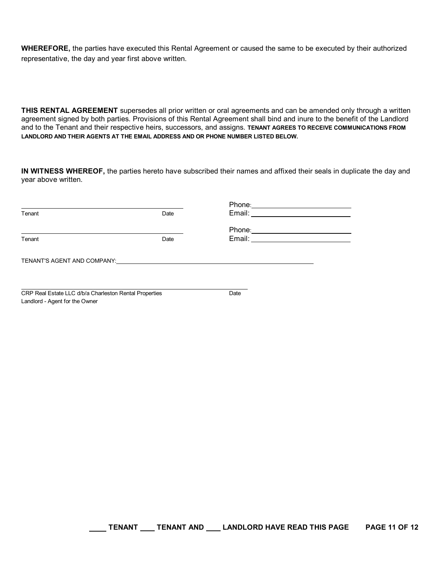**WHEREFORE,** the parties have executed this Rental Agreement or caused the same to be executed by their authorized representative, the day and year first above written.

**THIS RENTAL AGREEMENT** supersedes all prior written or oral agreements and can be amended only through a written agreement signed by both parties. Provisions of this Rental Agreement shall bind and inure to the benefit of the Landlord and to the Tenant and their respective heirs, successors, and assigns. **TENANT AGREES TO RECEIVE COMMUNICATIONS FROM LANDLORD AND THEIR AGENTS AT THE EMAIL ADDRESS AND OR PHONE NUMBER LISTED BELOW.**

**IN WITNESS WHEREOF,** the parties hereto have subscribed their names and affixed their seals in duplicate the day and year above written.

| Tenant                                                                                                                                                                                                                         | Date | Email: <u>Contract Communication</u> |  |  |
|--------------------------------------------------------------------------------------------------------------------------------------------------------------------------------------------------------------------------------|------|--------------------------------------|--|--|
|                                                                                                                                                                                                                                |      | Phone:__________________________     |  |  |
| Tenant                                                                                                                                                                                                                         | Date |                                      |  |  |
| TENANT'S AGENT AND COMPANY: THE RESERVE TO A STRING THE RESERVE TO A STRING THE RESERVE TO A STRING THE RESERVE TO A STRING THE RESERVE TO A STRING THE RESERVE TO A STRING THE RESERVE TO A STRING THE RESERVE TO A STRING TH |      |                                      |  |  |
| CRP Real Estate LLC d/b/a Charleston Rental Properties<br>Landlord - Agent for the Owner                                                                                                                                       |      | Date                                 |  |  |

**TENANT \_\_\_ TENANT AND \_\_\_ LANDLORD HAVE READ THIS PAGE FAGE 11 OF 12**